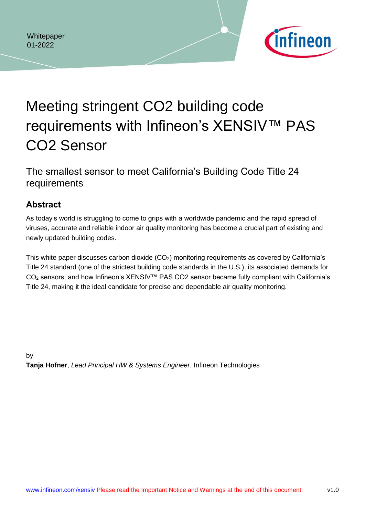

# Meeting stringent CO2 building code requirements with Infineon's XENSIV™ PAS CO2 Sensor

The smallest sensor to meet California's Building Code Title 24 requirements

# <span id="page-0-0"></span>**Abstract**

As today's world is struggling to come to grips with a worldwide pandemic and the rapid spread of viruses, accurate and reliable indoor air quality monitoring has become a crucial part of existing and newly updated building codes.

This white paper discusses carbon dioxide  $(CO<sub>2</sub>)$  monitoring requirements as covered by California's Title 24 standard (one of the strictest building code standards in the U.S.), its associated demands for CO<sub>2</sub> sensors, and how Infineon's XENSIV™ PAS CO2 sensor became fully compliant with California's Title 24, making it the ideal candidate for precise and dependable air quality monitoring.

by

**Tanja Hofner**, *Lead Principal HW & Systems Engineer*, Infineon Technologies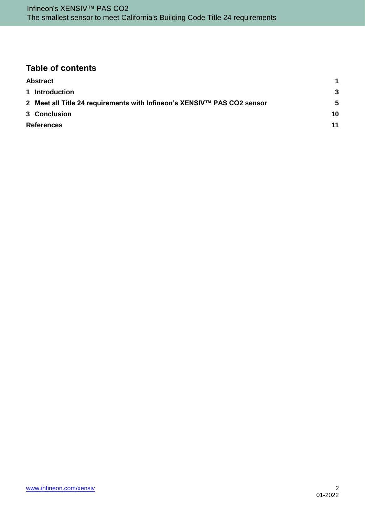# **Table of contents**

| <b>Abstract</b>                                                         |    |
|-------------------------------------------------------------------------|----|
| 1 Introduction                                                          | -3 |
| 2 Meet all Title 24 requirements with Infineon's XENSIV™ PAS CO2 sensor | 5  |
| 3 Conclusion                                                            | 10 |
| <b>References</b>                                                       | 11 |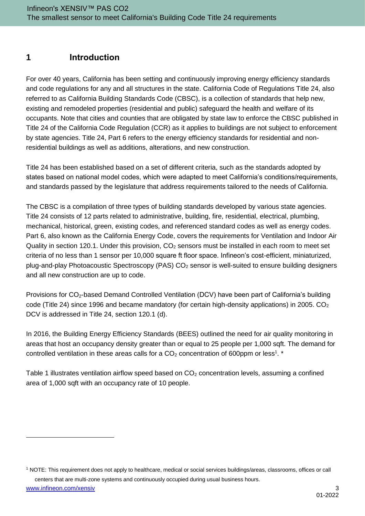# <span id="page-2-0"></span>**1 Introduction**

For over 40 years, California has been setting and continuously improving energy efficiency standards and code regulations for any and all structures in the state. California Code of Regulations Title 24, also referred to as California Building Standards Code (CBSC), is a collection of standards that help new, existing and remodeled properties (residential and public) safeguard the health and welfare of its occupants. Note that cities and counties that are obligated by state law to enforce the CBSC published in Title 24 of the California Code Regulation (CCR) as it applies to buildings are not subject to enforcement by state agencies. Title 24, Part 6 refers to the energy efficiency standards for residential and nonresidential buildings as well as additions, alterations, and new construction.

Title 24 has been established based on a set of different criteria, such as the standards adopted by states based on national model codes, which were adapted to meet California's conditions/requirements, and standards passed by the legislature that address requirements tailored to the needs of California.

The CBSC is a compilation of three types of building standards developed by various state agencies. Title 24 consists of 12 parts related to administrative, building, fire, residential, electrical, plumbing, mechanical, historical, green, existing codes, and referenced standard codes as well as energy codes. Part 6, also known as the California Energy Code, covers the requirements for Ventilation and Indoor Air Quality in section 120.1. Under this provision,  $CO<sub>2</sub>$  sensors must be installed in each room to meet set criteria of no less than 1 sensor per 10,000 square ft floor space. Infineon's cost-efficient, miniaturized, plug-and-play Photoacoustic Spectroscopy (PAS)  $CO<sub>2</sub>$  sensor is well-suited to ensure building designers and all new construction are up to code.

Provisions for CO<sub>2</sub>-based Demand Controlled Ventilation (DCV) have been part of California's building code (Title 24) since 1996 and became mandatory (for certain high-density applications) in 2005. CO<sub>2</sub> DCV is addressed in Title 24, section 120.1 (d).

In 2016, the Building Energy Efficiency Standards (BEES) outlined the need for air quality monitoring in areas that host an occupancy density greater than or equal to 25 people per 1,000 sqft. The demand for controlled ventilation in these areas calls for a  $CO<sub>2</sub>$  concentration of 600ppm or less<sup>1</sup>. \*

[Table 1](#page-3-0) illustrates ventilation airflow speed based on  $CO<sub>2</sub>$  concentration levels, assuming a confined area of 1,000 sqft with an occupancy rate of 10 people.

[www.infineon.com/xensiv](http://www.infineon.com/xensiv) 3 <sup>1</sup> NOTE: This requirement does not apply to healthcare, medical or social services buildings/areas, classrooms, offices or call centers that are multi-zone systems and continuously occupied during usual business hours.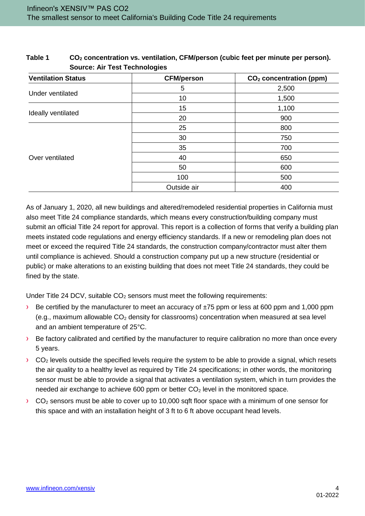| <b>Ventilation Status</b> | <b>CFM/person</b> | CO <sub>2</sub> concentration (ppm) |
|---------------------------|-------------------|-------------------------------------|
|                           | 5                 | 2,500                               |
| Under ventilated          | 10                | 1,500                               |
|                           | 15                | 1,100                               |
| Ideally ventilated        | 20                | 900                                 |
| Over ventilated           | 25                | 800                                 |
|                           | 30                | 750                                 |
|                           | 35                | 700                                 |
|                           | 40                | 650                                 |
|                           | 50                | 600                                 |
|                           | 100               | 500                                 |
|                           | Outside air       | 400                                 |

<span id="page-3-0"></span>**Table 1 CO<sup>2</sup> concentration vs. ventilation, CFM/person (cubic feet per minute per person). Source: Air Test Technologies**

As of January 1, 2020, all new buildings and altered/remodeled residential properties in California must also meet Title 24 compliance standards, which means every construction/building company must submit an official Title 24 report for approval. This report is a collection of forms that verify a building plan meets instated code regulations and energy efficiency standards. If a new or remodeling plan does not meet or exceed the required Title 24 standards, the construction company/contractor must alter them until compliance is achieved. Should a construction company put up a new structure (residential or public) or make alterations to an existing building that does not meet Title 24 standards, they could be fined by the state.

Under Title 24 DCV, suitable  $CO<sub>2</sub>$  sensors must meet the following requirements:

- $\rightarrow$  Be certified by the manufacturer to meet an accuracy of  $\pm 75$  ppm or less at 600 ppm and 1,000 ppm (e.g., maximum allowable  $CO<sub>2</sub>$  density for classrooms) concentration when measured at sea level and an ambient temperature of 25°C.
- $\rightarrow$  Be factory calibrated and certified by the manufacturer to require calibration no more than once every 5 years.
- $\rightarrow$  CO<sub>2</sub> levels outside the specified levels require the system to be able to provide a signal, which resets the air quality to a healthy level as required by Title 24 specifications; in other words, the monitoring sensor must be able to provide a signal that activates a ventilation system, which in turn provides the needed air exchange to achieve 600 ppm or better  $CO<sub>2</sub>$  level in the monitored space.
- $\rightarrow$  CO<sub>2</sub> sensors must be able to cover up to 10,000 sqft floor space with a minimum of one sensor for this space and with an installation height of 3 ft to 6 ft above occupant head levels.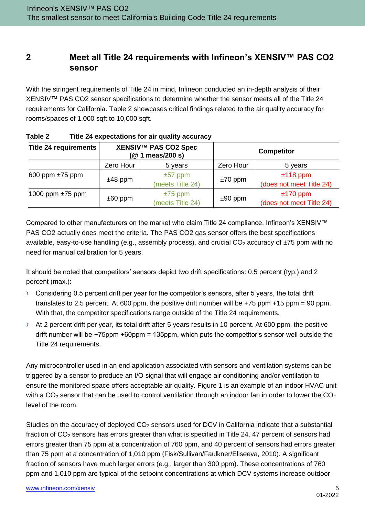# <span id="page-4-0"></span>**2 Meet all Title 24 requirements with Infineon's XENSIV™ PAS CO2 sensor**

With the stringent requirements of Title 24 in mind, Infineon conducted an in-depth analysis of their XENSIV™ PAS CO2 sensor specifications to determine whether the sensor meets all of the Title 24 requirements for California. [Table 2](#page-4-1) showcases critical findings related to the air quality accuracy for rooms/spaces of 1,000 sqft to 10,000 sqft.

| <b>Title 24 requirements</b> | XENSIV™ PAS CO2 Spec<br>(@ 1 meas/200 s) |                  | <b>Competitor</b> |                          |
|------------------------------|------------------------------------------|------------------|-------------------|--------------------------|
|                              | Zero Hour                                | 5 years          | Zero Hour         | 5 years                  |
| 600 ppm $\pm 75$ ppm         | $±48$ ppm                                | $\pm 57$ ppm     | $±70$ ppm         | $±118$ ppm               |
|                              |                                          | (meets Title 24) |                   | (does not meet Title 24) |
| 1000 ppm $\pm 75$ ppm        | $±75$ ppm                                |                  | $±170$ ppm        |                          |
|                              | $\pm 60$ ppm                             | (meets Title 24) | $±90$ ppm         | (does not meet Title 24) |

<span id="page-4-1"></span>

| Table 2 | Title 24 expectations for air quality accuracy |  |
|---------|------------------------------------------------|--|
|---------|------------------------------------------------|--|

Compared to other manufacturers on the market who claim Title 24 compliance, Infineon's XENSIV™ PAS CO2 actually does meet the criteria. The PAS CO2 gas sensor offers the best specifications available, easy-to-use handling (e.g., assembly process), and crucial  $CO<sub>2</sub>$  accuracy of  $\pm 75$  ppm with no need for manual calibration for 5 years.

It should be noted that competitors' sensors depict two drift specifications: 0.5 percent (typ.) and 2 percent (max.):

- › Considering 0.5 percent drift per year for the competitor's sensors, after 5 years, the total drift translates to 2.5 percent. At 600 ppm, the positive drift number will be  $+75$  ppm  $+15$  ppm = 90 ppm. With that, the competitor specifications range outside of the Title 24 requirements.
- › At 2 percent drift per year, its total drift after 5 years results in 10 percent. At 600 ppm, the positive drift number will be +75ppm +60ppm = 135ppm, which puts the competitor's sensor well outside the Title 24 requirements.

Any microcontroller used in an end application associated with sensors and ventilation systems can be triggered by a sensor to produce an I/O signal that will engage air conditioning and/or ventilation to ensure the monitored space offers acceptable air quality. [Figure 1](#page-5-0) is an example of an indoor HVAC unit with a CO<sub>2</sub> sensor that can be used to control ventilation through an indoor fan in order to lower the CO<sub>2</sub> level of the room.

Studies on the accuracy of deployed  $CO<sub>2</sub>$  sensors used for DCV in California indicate that a substantial fraction of CO<sub>2</sub> sensors has errors greater than what is specified in Title 24. 47 percent of sensors had errors greater than 75 ppm at a concentration of 760 ppm, and 40 percent of sensors had errors greater than 75 ppm at a concentration of 1,010 ppm (Fisk/Sullivan/Faulkner/Eliseeva, 2010). A significant fraction of sensors have much larger errors (e.g., larger than 300 ppm). These concentrations of 760 ppm and 1,010 ppm are typical of the setpoint concentrations at which DCV systems increase outdoor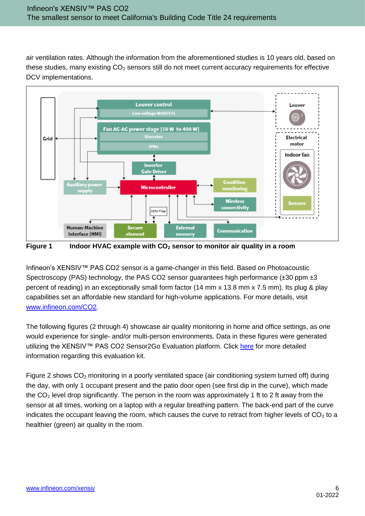air ventilation rates. Although the information from the aforementioned studies is 10 years old, based on these studies, many existing CO<sub>2</sub> sensors still do not meet current accuracy requirements for effective DCV implementations.



<span id="page-5-0"></span>**Figure 1 Indoor HVAC example with CO<sup>2</sup> sensor to monitor air quality in a room**

Infineon's XENSIV™ PAS CO2 sensor is a game-changer in this field. Based on Photoacoustic Spectroscopy (PAS) technology, the PAS CO2 sensor guarantees high performance  $(\pm 30 \text{ ppm} \pm 3$ percent of reading) in an exceptionally small form factor (14 mm x 13.8 mm x 7.5 mm). Its plug & play capabilities set an affordable new standard for high-volume applications. For more details, visit [www.infineon.com/CO2.](http://www.infineon.com/CO2)

The following figures (2 through 4) showcase air quality monitoring in home and office settings, as one would experience for single- and/or multi-person environments. Data in these figures were generated utilizing the XENSIV™ PAS CO2 Sensor2Go Evaluation platform. Click [here](https://www.infineon.com/cms/en/product/evaluation-boards/eval_pasco2_sensor2go/) for more detailed information regarding this evaluation kit.

[Figure 2](#page-6-0) shows  $CO<sub>2</sub>$  monitoring in a poorly ventilated space (air conditioning system turned off) during the day, with only 1 occupant present and the patio door open (see first dip in the curve), which made the  $CO<sub>2</sub>$  level drop significantly. The person in the room was approximately 1 ft to 2 ft away from the sensor at all times, working on a laptop with a regular breathing pattern. The back-end part of the curve indicates the occupant leaving the room, which causes the curve to retract from higher levels of  $CO<sub>2</sub>$  to a healthier (green) air quality in the room.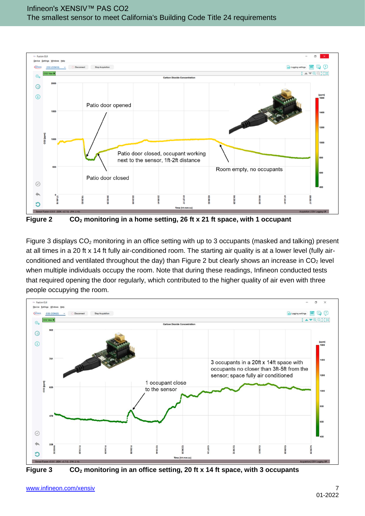

<span id="page-6-0"></span>[Figure 3](#page-6-1) displays  $CO<sub>2</sub>$  monitoring in an office setting with up to 3 occupants (masked and talking) present at all times in a 20 ft x 14 ft fully air-conditioned room. The starting air quality is at a lower level (fully air-conditioned and ventilated throughout the day) than [Figure 2](#page-6-0) but clearly shows an increase in  $CO<sub>2</sub>$  level when multiple individuals occupy the room. Note that during these readings, Infineon conducted tests that required opening the door regularly, which contributed to the higher quality of air even with three



<span id="page-6-1"></span>

people occupying the room.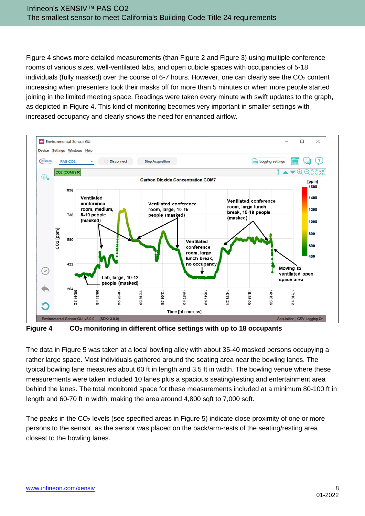[Figure 4](#page-7-0) shows more detailed measurements (than [Figure 2](#page-6-0) and [Figure 3\)](#page-6-1) using multiple conference rooms of various sizes, well-ventilated labs, and open cubicle spaces with occupancies of 5-18 individuals (fully masked) over the course of 6-7 hours. However, one can clearly see the  $CO<sub>2</sub>$  content increasing when presenters took their masks off for more than 5 minutes or when more people started joining in the limited meeting space. Readings were taken every minute with swift updates to the graph, as depicted in [Figure 4.](#page-7-0) This kind of monitoring becomes very important in smaller settings with increased occupancy and clearly shows the need for enhanced airflow.



<span id="page-7-0"></span>**Figure 4 CO<sup>2</sup> monitoring in different office settings with up to 18 occupants**

The data in [Figure 5](#page-8-0) was taken at a local bowling alley with about 35-40 masked persons occupying a rather large space. Most individuals gathered around the seating area near the bowling lanes. The typical bowling lane measures about 60 ft in length and 3.5 ft in width. The bowling venue where these measurements were taken included 10 lanes plus a spacious seating/resting and entertainment area behind the lanes. The total monitored space for these measurements included at a minimum 80-100 ft in length and 60-70 ft in width, making the area around 4,800 sqft to 7,000 sqft.

The peaks in the  $CO<sub>2</sub>$  levels (see specified areas in [Figure 5\)](#page-8-0) indicate close proximity of one or more persons to the sensor, as the sensor was placed on the back/arm-rests of the seating/resting area closest to the bowling lanes.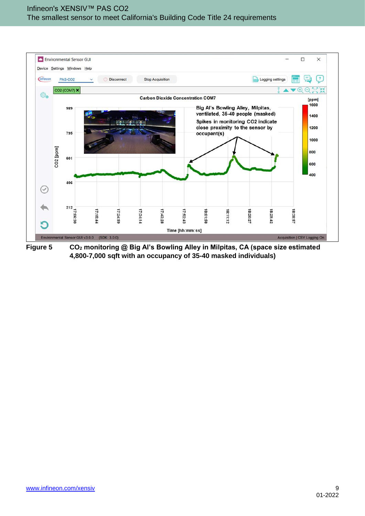

<span id="page-8-0"></span>**Figure 5 CO<sup>2</sup> monitoring @ Big Al's Bowling Alley in Milpitas, CA (space size estimated 4,800-7,000 sqft with an occupancy of 35-40 masked individuals)**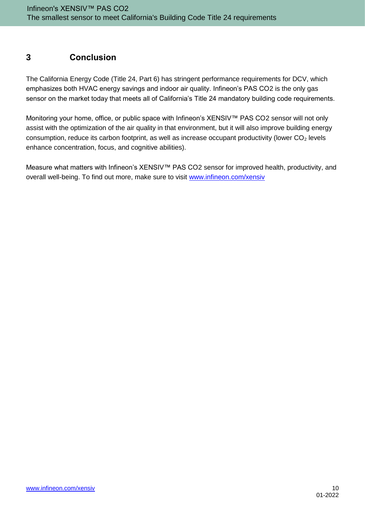# <span id="page-9-0"></span>**3 Conclusion**

The California Energy Code (Title 24, Part 6) has stringent performance requirements for DCV, which emphasizes both HVAC energy savings and indoor air quality. Infineon's PAS CO2 is the only gas sensor on the market today that meets all of California's Title 24 mandatory building code requirements.

Monitoring your home, office, or public space with Infineon's XENSIV™ PAS CO2 sensor will not only assist with the optimization of the air quality in that environment, but it will also improve building energy consumption, reduce its carbon footprint, as well as increase occupant productivity (lower  $CO<sub>2</sub>$  levels enhance concentration, focus, and cognitive abilities).

Measure what matters with Infineon's XENSIV™ PAS CO2 sensor for improved health, productivity, and overall well-being. To find out more, make sure to visit [www.infineon.com/xensiv](http://www.infineon.com/xensiv)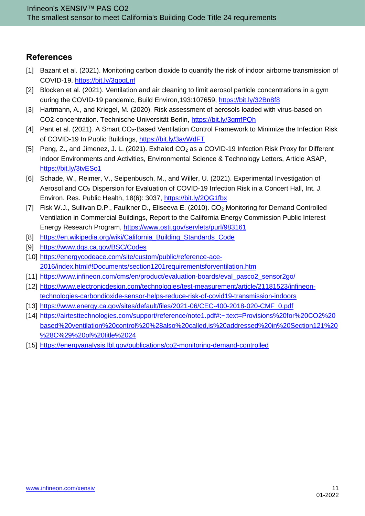### <span id="page-10-0"></span>**References**

- [1] Bazant et al. (2021). Monitoring carbon dioxide to quantify the risk of indoor airborne transmission of COVID-19,<https://bit.ly/3gpgLnf>
- [2] Blocken et al. (2021). Ventilation and air cleaning to limit aerosol particle concentrations in a gym during the COVID-19 pandemic, Build Environ,193:107659,<https://bit.ly/32Bn8f8>
- [3] Hartmann, A., and Kriegel, M. (2020). Risk assessment of aerosols loaded with virus-based on CO2-concentration. Technische Universität Berlin,<https://bit.ly/3gmfPQh>
- [4] Pant et al. (2021). A Smart CO<sub>2</sub>-Based Ventilation Control Framework to Minimize the Infection Risk of COVID-19 In Public Buildings,<https://bit.ly/3avWdFT>
- [5] Peng, Z., and Jimenez, J. L. (2021). Exhaled CO<sub>2</sub> as a COVID-19 Infection Risk Proxy for Different Indoor Environments and Activities, Environmental Science & Technology Letters, Article ASAP, <https://bit.ly/3tvESo1>
- [6] Schade, W., Reimer, V., Seipenbusch, M., and Willer, U. (2021). Experimental Investigation of Aerosol and CO<sub>2</sub> Dispersion for Evaluation of COVID-19 Infection Risk in a Concert Hall, Int. J. Environ. Res. Public Health, 18(6): 3037,<https://bit.ly/2QG1fbx>
- [7] Fisk W.J., Sullivan D.P., Faulkner D., Eliseeva E. (2010). CO<sub>2</sub> Monitoring for Demand Controlled Ventilation in Commercial Buildings, Report to the California Energy Commission Public Interest Energy Research Program,<https://www.osti.gov/servlets/purl/983161>
- [8] https://en.wikipedia.org/wiki/California Building Standards Code
- [9] <https://www.dgs.ca.gov/BSC/Codes>
- [10] [https://energycodeace.com/site/custom/public/reference-ace-](https://energycodeace.com/site/custom/public/reference-ace-2016/index.html#!Documents/section1201requirementsforventilation.htm)[2016/index.html#!Documents/section1201requirementsforventilation.htm](https://energycodeace.com/site/custom/public/reference-ace-2016/index.html#!Documents/section1201requirementsforventilation.htm)
- [11] [https://www.infineon.com/cms/en/product/evaluation-boards/eval\\_pasco2\\_sensor2go/](https://www.infineon.com/cms/en/product/evaluation-boards/eval_pasco2_sensor2go/)
- [12] [https://www.electronicdesign.com/technologies/test-measurement/article/21181523/infineon](https://www.electronicdesign.com/technologies/test-measurement/article/21181523/infineon-technologies-carbondioxide-sensor-helps-reduce-risk-of-covid19-transmission-indoors)[technologies-carbondioxide-sensor-helps-reduce-risk-of-covid19-transmission-indoors](https://www.electronicdesign.com/technologies/test-measurement/article/21181523/infineon-technologies-carbondioxide-sensor-helps-reduce-risk-of-covid19-transmission-indoors)
- [13] [https://www.energy.ca.gov/sites/default/files/2021-06/CEC-400-2018-020-CMF\\_0.pdf](https://www.energy.ca.gov/sites/default/files/2021-06/CEC-400-2018-020-CMF_0.pdf)
- [14] [https://airtesttechnologies.com/support/reference/note1.pdf#:~:text=Provisions%20for%20CO2%20](https://airtesttechnologies.com/support/reference/note1.pdf#:~:text=Provisions%20for%20CO2%20based%20ventilation%20control%20%28also%20called,is%20addressed%20in%20Section121%20%28C%29%20of%20title%2024) [based%20ventilation%20control%20%28also%20called,is%20addressed%20in%20Section121%20](https://airtesttechnologies.com/support/reference/note1.pdf#:~:text=Provisions%20for%20CO2%20based%20ventilation%20control%20%28also%20called,is%20addressed%20in%20Section121%20%28C%29%20of%20title%2024) [%28C%29%20of%20title%2024](https://airtesttechnologies.com/support/reference/note1.pdf#:~:text=Provisions%20for%20CO2%20based%20ventilation%20control%20%28also%20called,is%20addressed%20in%20Section121%20%28C%29%20of%20title%2024)
- [15] <https://energyanalysis.lbl.gov/publications/co2-monitoring-demand-controlled>